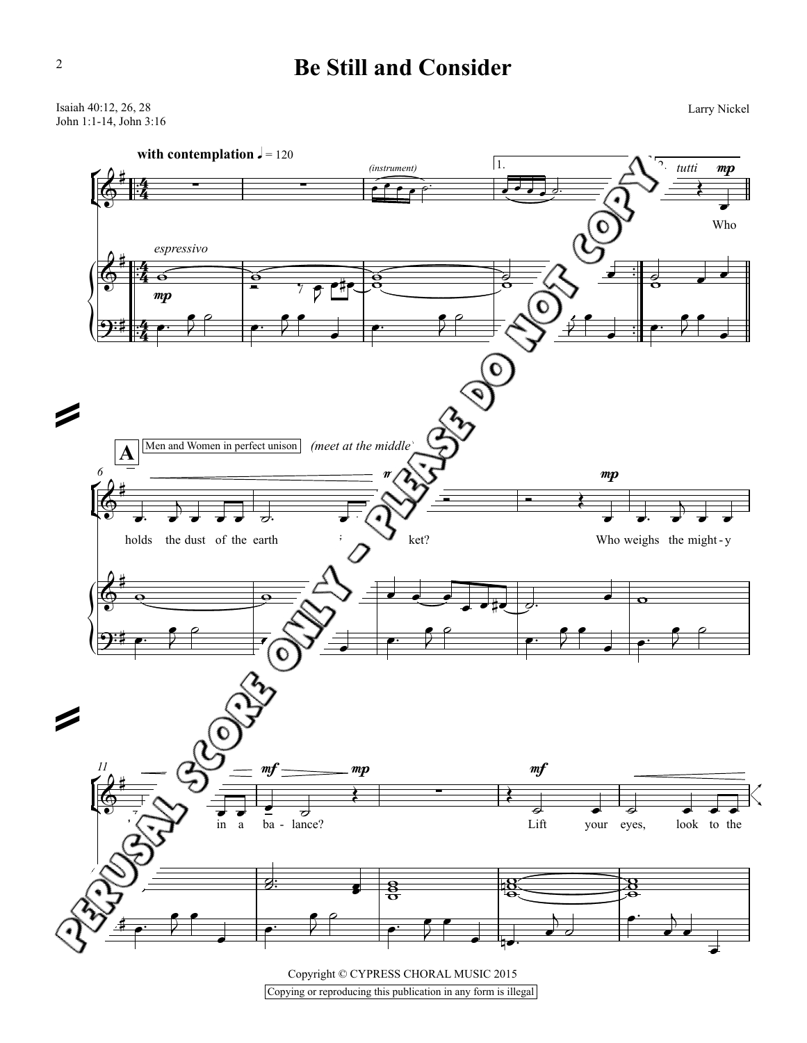## **Be Still and Consider**

Isaiah 40:12, 26, 28  $h\,40.12, 26, 28$  Larry John 1:1-14, John 3:16

Larry Nickel



Copying or reproducing this publication in any form is illegal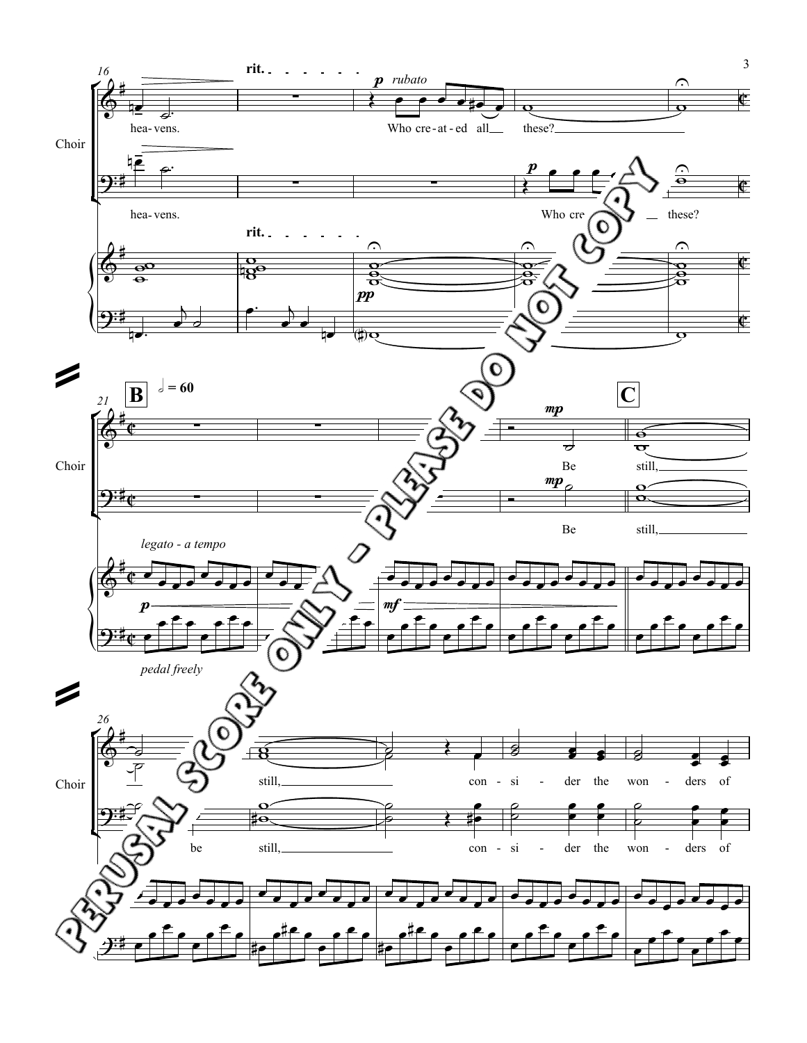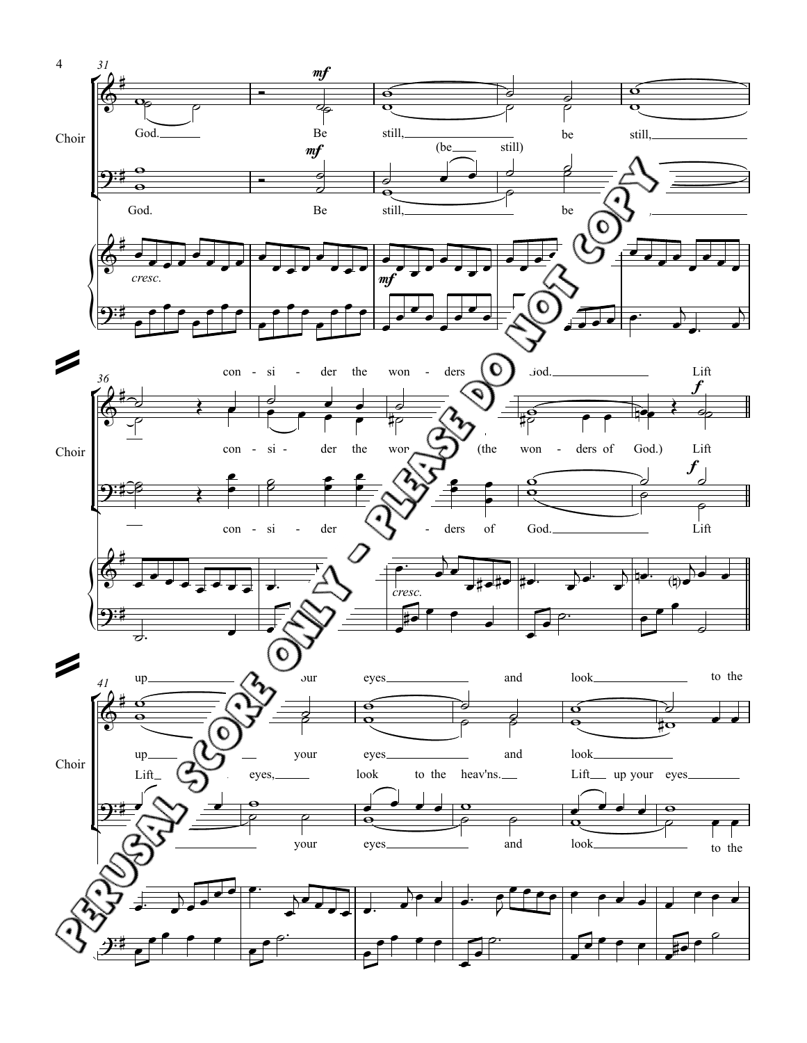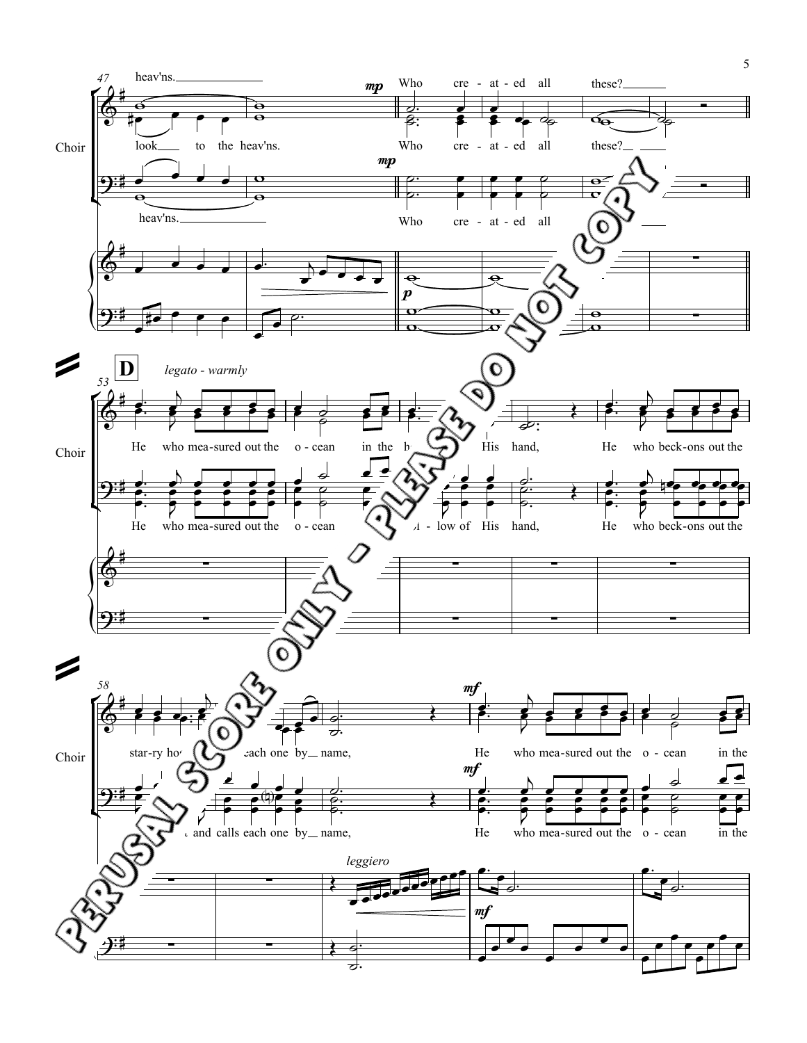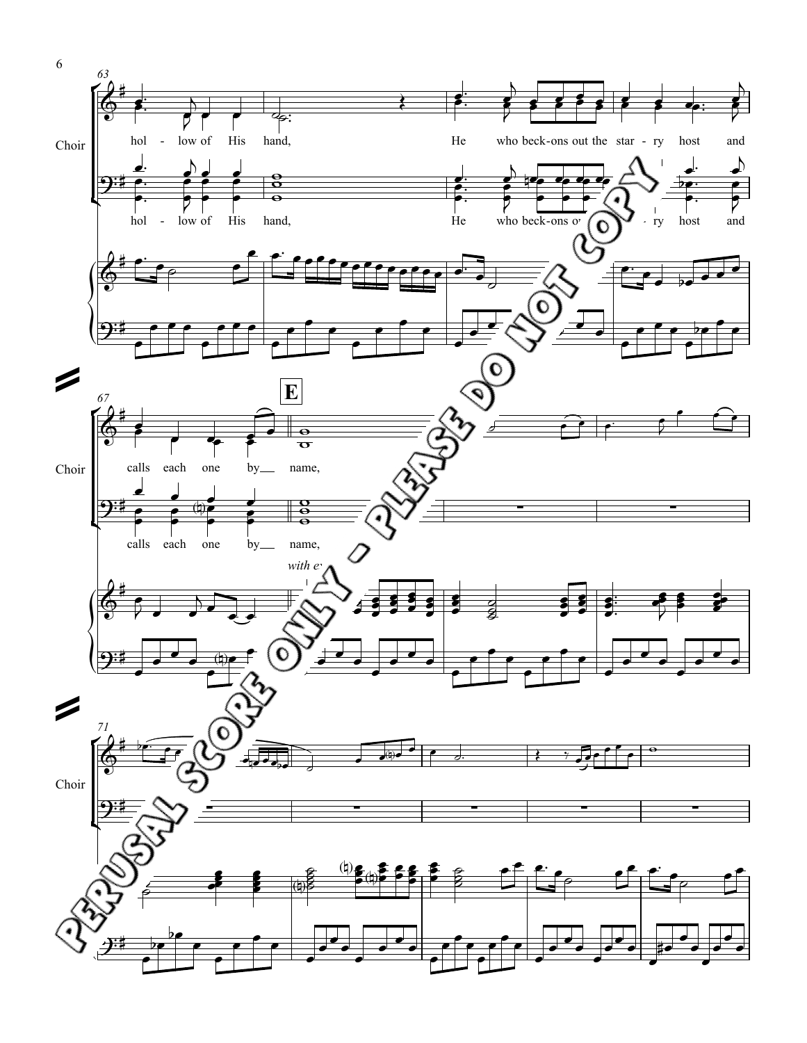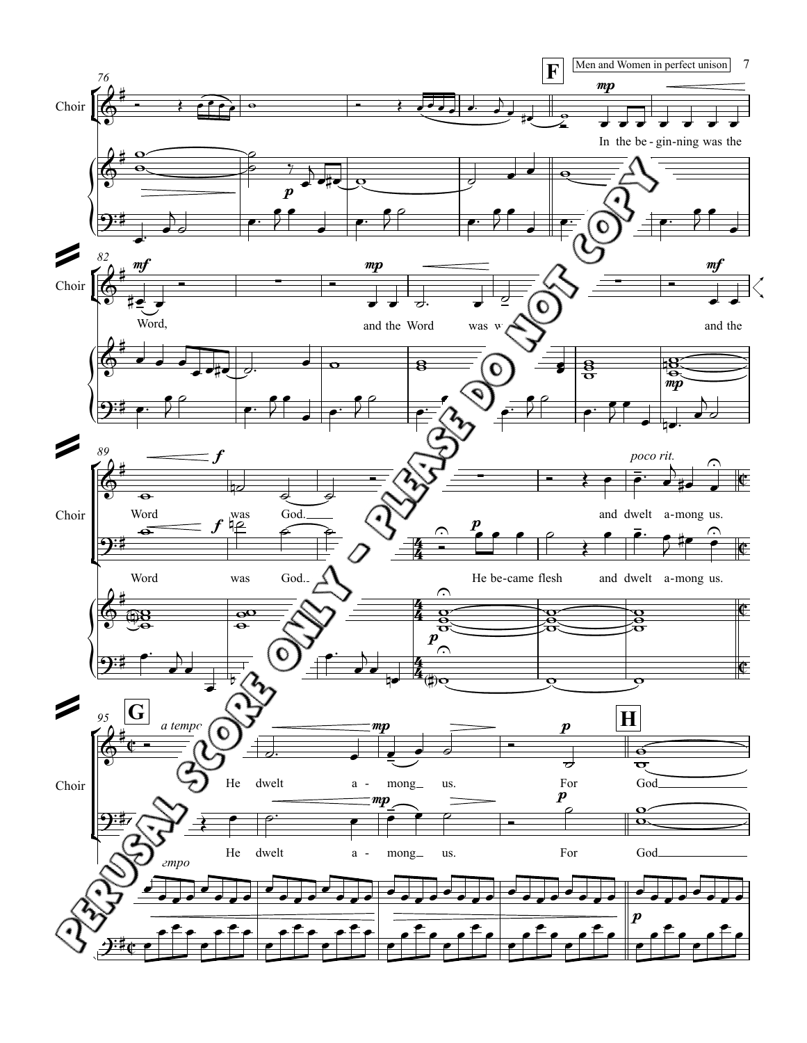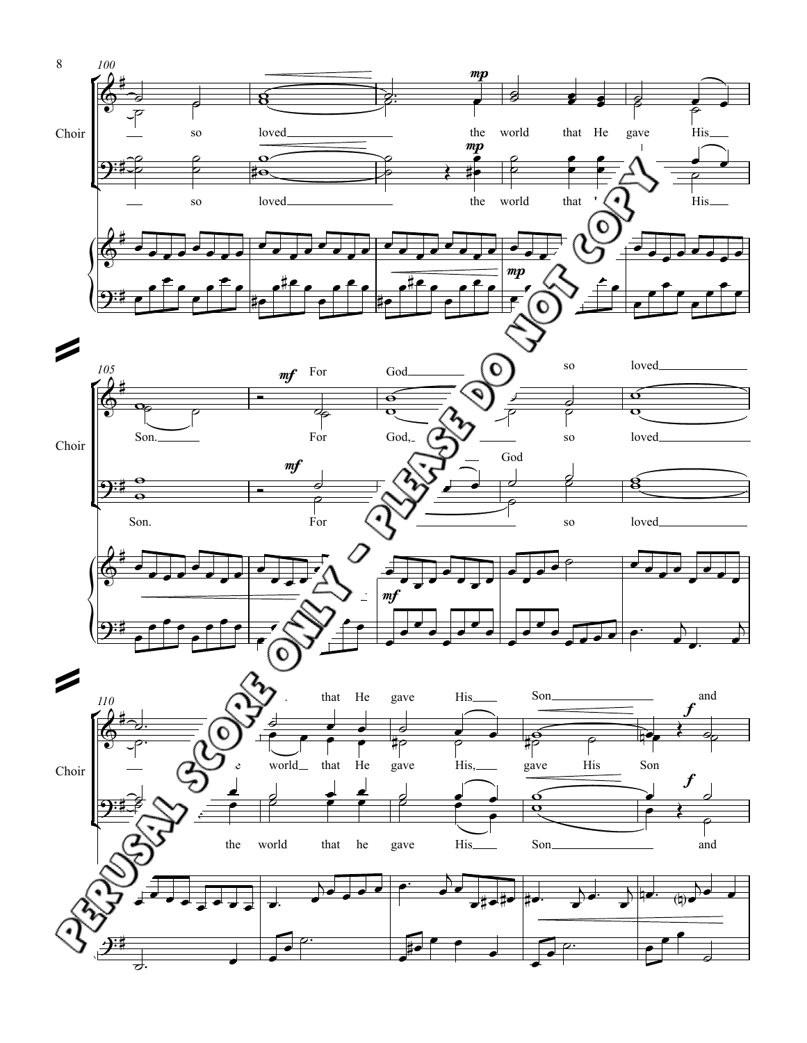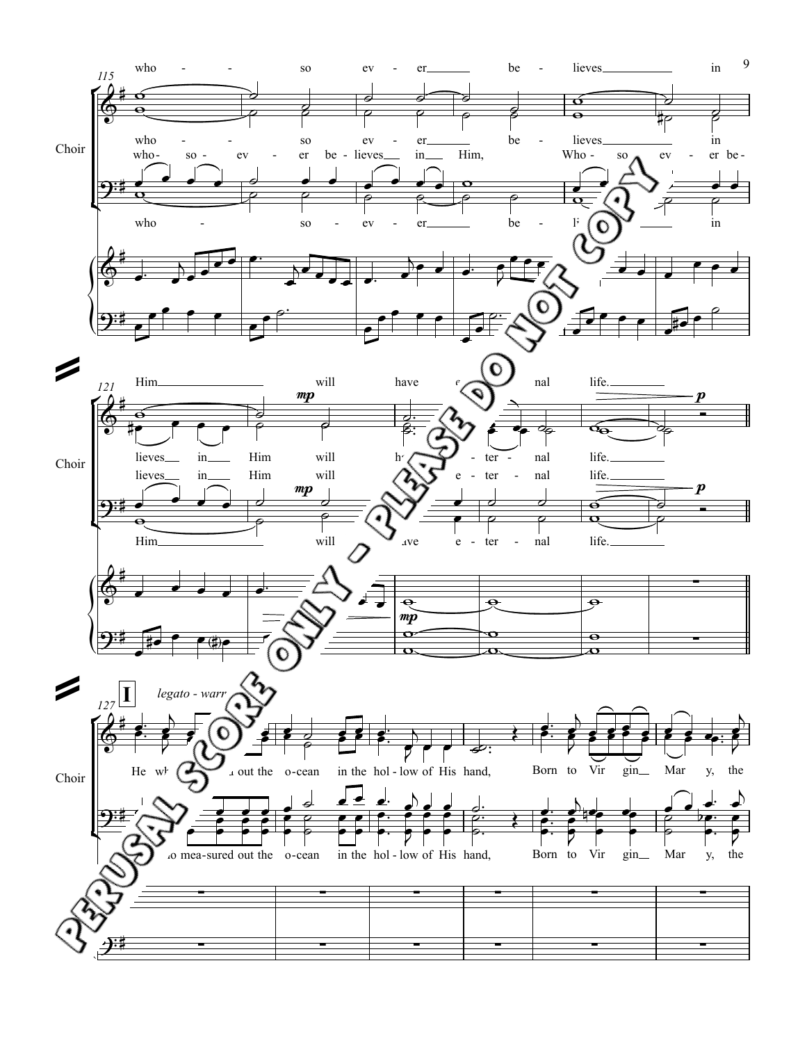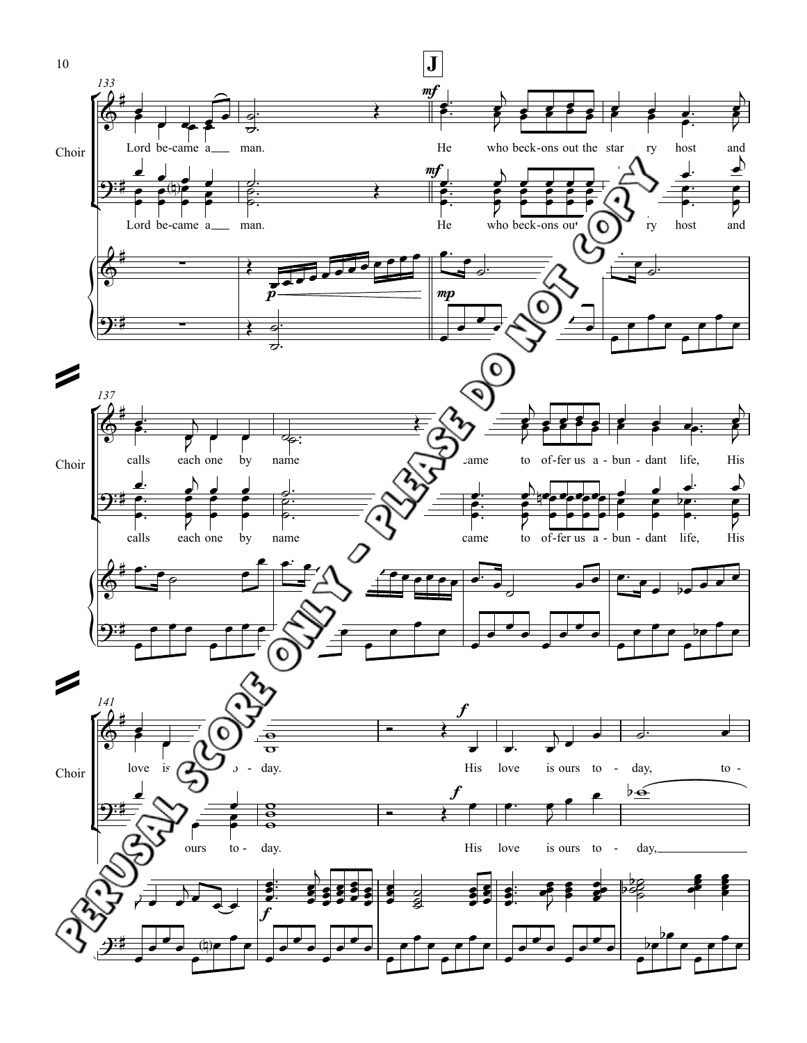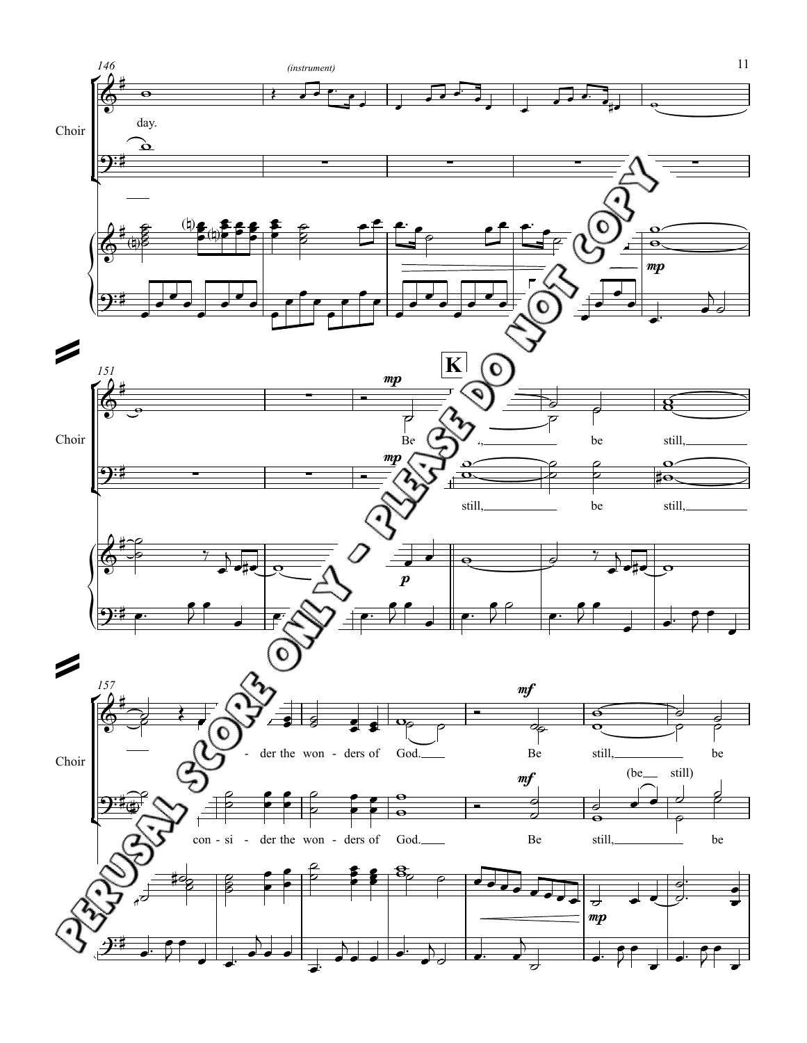